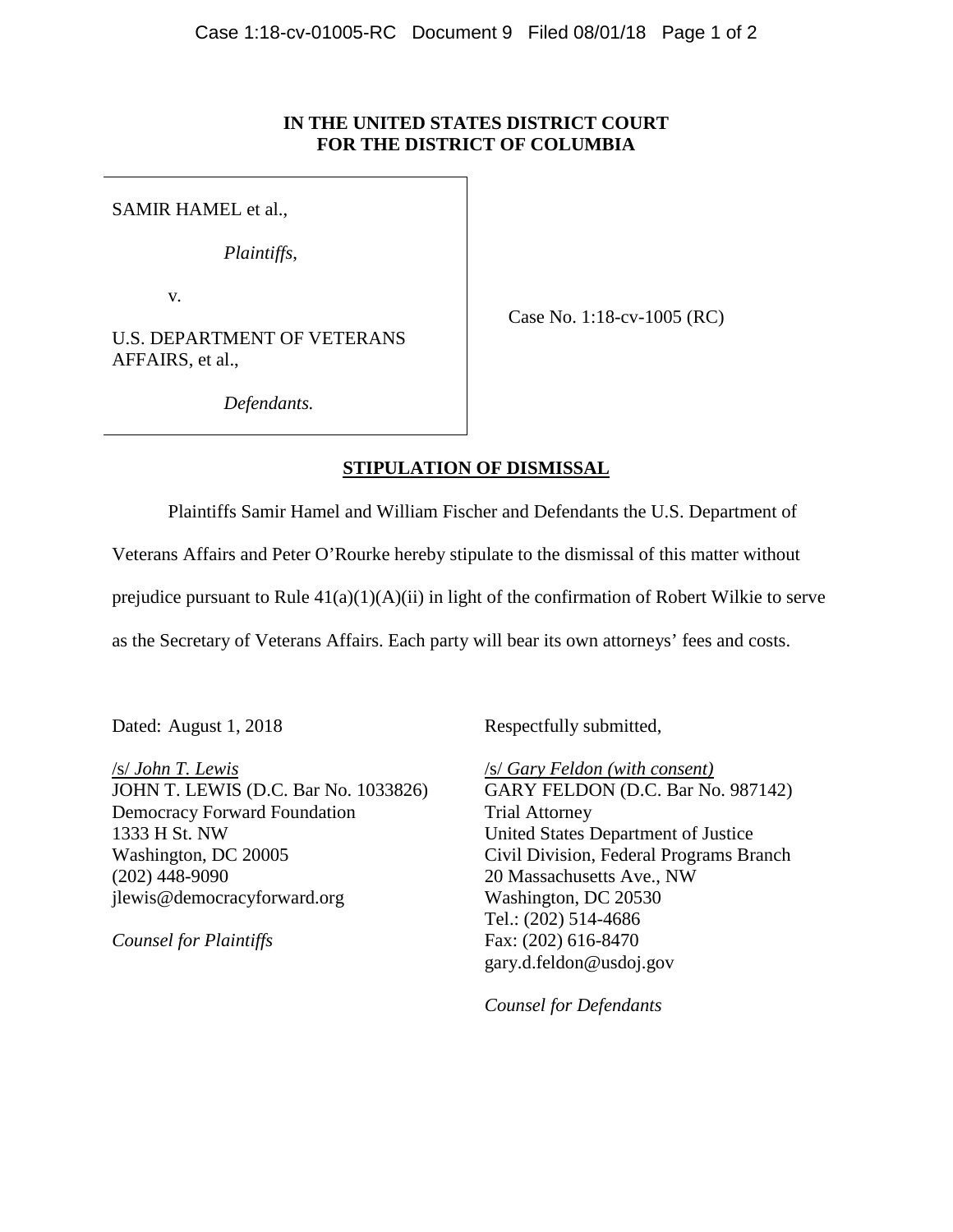## **IN THE UNITED STATES DISTRICT COURT FOR THE DISTRICT OF COLUMBIA**

SAMIR HAMEL et al.,

*Plaintiffs*,

v*.*

U.S. DEPARTMENT OF VETERANS AFFAIRS, et al.,

Case No. 1:18-cv-1005 (RC)

*Defendants.*

## **STIPULATION OF DISMISSAL**

Plaintiffs Samir Hamel and William Fischer and Defendants the U.S. Department of

Veterans Affairs and Peter O'Rourke hereby stipulate to the dismissal of this matter without

prejudice pursuant to Rule 41(a)(1)(A)(ii) in light of the confirmation of Robert Wilkie to serve

as the Secretary of Veterans Affairs. Each party will bear its own attorneys' fees and costs.

Dated: August 1, 2018

/s/ *John T. Lewis* JOHN T. LEWIS (D.C. Bar No. 1033826) Democracy Forward Foundation 1333 H St. NW Washington, DC 20005 (202) 448-9090 jlewis@democracyforward.org

*Counsel for Plaintiffs*

Respectfully submitted,

/s/ *Gary Feldon (with consent)* GARY FELDON (D.C. Bar No. 987142) Trial Attorney United States Department of Justice Civil Division, Federal Programs Branch 20 Massachusetts Ave., NW Washington, DC 20530 Tel.: (202) 514-4686 Fax: (202) 616-8470 gary.d.feldon@usdoj.gov

*Counsel for Defendants*